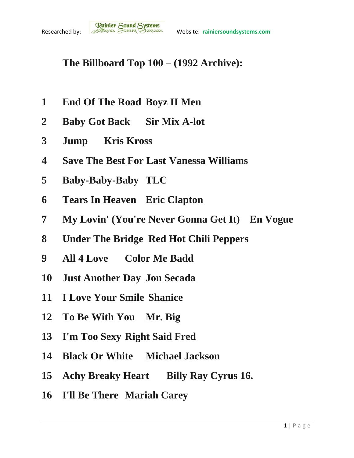## **The Billboard Top 100 – (1992 Archive):**

- **End Of The Road Boyz II Men**
- **Baby Got Back Sir Mix A-lot**
- **Jump Kris Kross**
- **Save The Best For Last Vanessa Williams**
- **Baby-Baby-Baby TLC**
- **Tears In Heaven Eric Clapton**
- **My Lovin' (You're Never Gonna Get It) En Vogue**
- **Under The Bridge Red Hot Chili Peppers**
- **All 4 Love Color Me Badd**
- **Just Another Day Jon Secada**
- **I Love Your Smile Shanice**
- **To Be With You Mr. Big**
- **I'm Too Sexy Right Said Fred**
- **Black Or White Michael Jackson**
- **Achy Breaky Heart Billy Ray Cyrus 16.**
- **I'll Be There Mariah Carey**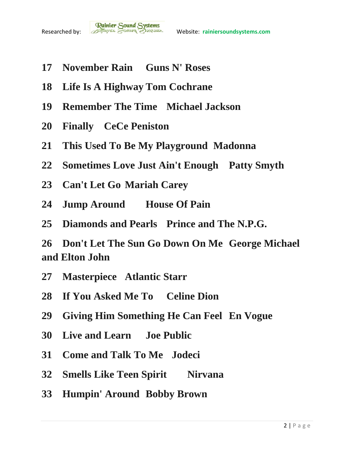- **November Rain Guns N' Roses**
- **Life Is A Highway Tom Cochrane**
- **Remember The Time Michael Jackson**
- **Finally CeCe Peniston**
- **This Used To Be My Playground Madonna**
- **Sometimes Love Just Ain't Enough Patty Smyth**
- **Can't Let Go Mariah Carey**
- **Jump Around House Of Pain**
- **Diamonds and Pearls Prince and The N.P.G.**

 **Don't Let The Sun Go Down On Me George Michael and Elton John**

- **Masterpiece Atlantic Starr**
- **If You Asked Me To Celine Dion**
- **Giving Him Something He Can Feel En Vogue**
- **Live and Learn Joe Public**
- **Come and Talk To Me Jodeci**
- **Smells Like Teen Spirit Nirvana**
- **Humpin' Around Bobby Brown**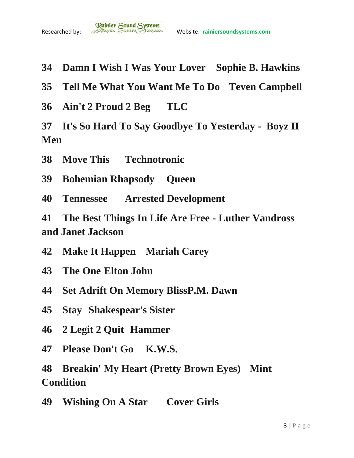- **Damn I Wish I Was Your Lover Sophie B. Hawkins**
- **Tell Me What You Want Me To Do Teven Campbell**
- **Ain't 2 Proud 2 Beg TLC**
- **It's So Hard To Say Goodbye To Yesterday - Boyz II Men**
- **Move This Technotronic**
- **Bohemian Rhapsody Queen**
- **Tennessee Arrested Development**
- **The Best Things In Life Are Free - Luther Vandross and Janet Jackson**
- **Make It Happen Mariah Carey**
- **The One Elton John**
- **Set Adrift On Memory BlissP.M. Dawn**
- **Stay Shakespear's Sister**
- **2 Legit 2 Quit Hammer**
- **Please Don't Go K.W.S.**
- **Breakin' My Heart (Pretty Brown Eyes) Mint Condition**
- **Wishing On A Star Cover Girls**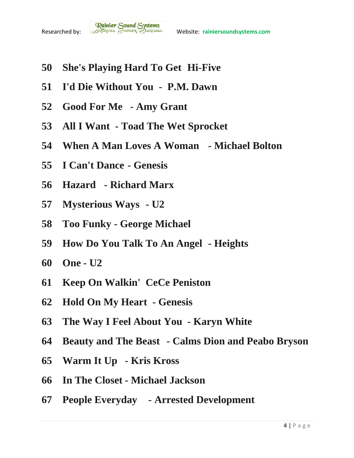- **She's Playing Hard To Get Hi-Five**
- **I'd Die Without You P.M. Dawn**
- **Good For Me - Amy Grant**
- **All I Want - Toad The Wet Sprocket**
- **When A Man Loves A Woman - Michael Bolton**
- **I Can't Dance - Genesis**
- **Hazard - Richard Marx**
- **Mysterious Ways - U2**
- **Too Funky - George Michael**
- **How Do You Talk To An Angel - Heights**
- **One - U2**
- **Keep On Walkin' CeCe Peniston**
- **Hold On My Heart - Genesis**
- **The Way I Feel About You - Karyn White**
- **Beauty and The Beast - Calms Dion and Peabo Bryson**
- **Warm It Up - Kris Kross**
- **In The Closet - Michael Jackson**
- **People Everyday - Arrested Development**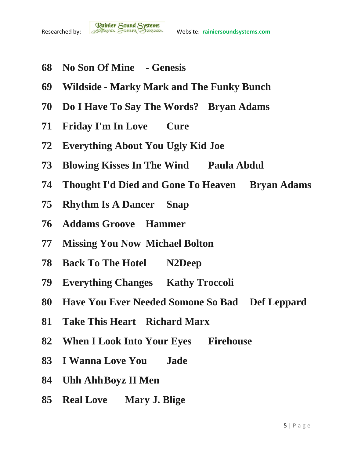

- **No Son Of Mine - Genesis**
- **Wildside - Marky Mark and The Funky Bunch**
- **Do I Have To Say The Words? Bryan Adams**
- **Friday I'm In Love Cure**
- **Everything About You Ugly Kid Joe**
- **Blowing Kisses In The Wind Paula Abdul**
- **Thought I'd Died and Gone To Heaven Bryan Adams**
- **Rhythm Is A Dancer Snap**
- **Addams Groove Hammer**
- **Missing You Now Michael Bolton**
- **Back To The Hotel N2Deep**
- **Everything Changes Kathy Troccoli**
- **Have You Ever Needed Somone So Bad Def Leppard**
- **Take This Heart Richard Marx**
- **When I Look Into Your Eyes Firehouse**
- **I Wanna Love You Jade**
- **Uhh AhhBoyz II Men**
- **Real Love Mary J. Blige**